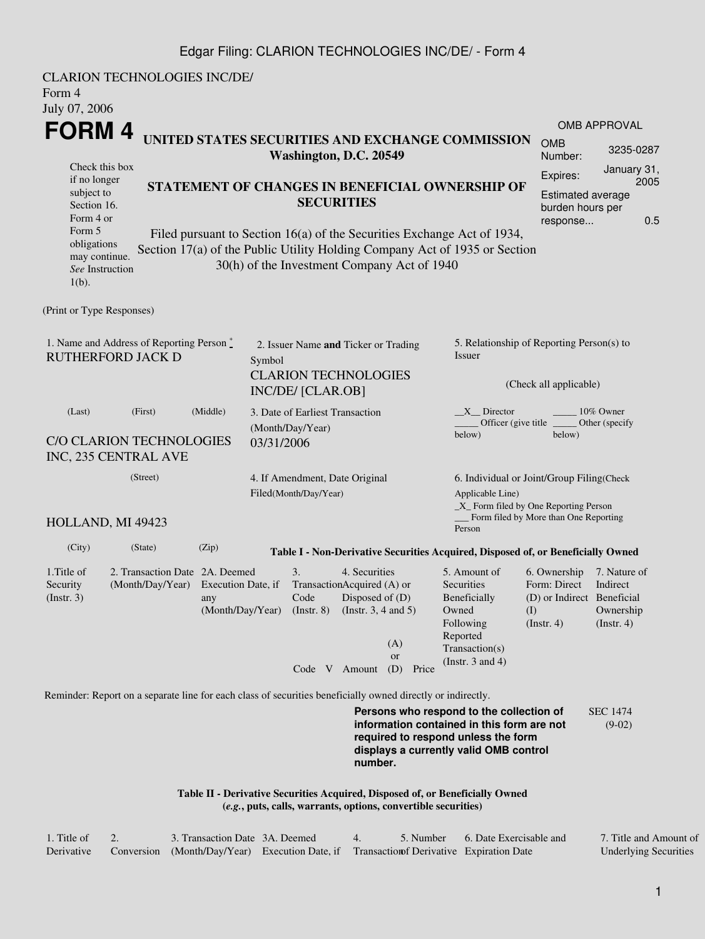## Edgar Filing: CLARION TECHNOLOGIES INC/DE/ - Form 4

| <b>CLARION TECHNOLOGIES INC/DE/</b><br>Form 4<br>July 07, 2006                                                                                                                                                                                                                |                                                                       |                                                                      |  |                                                                |                                                                                       |                      |                                                                                                                         |                                                                                 |                                                           |  |  |  |
|-------------------------------------------------------------------------------------------------------------------------------------------------------------------------------------------------------------------------------------------------------------------------------|-----------------------------------------------------------------------|----------------------------------------------------------------------|--|----------------------------------------------------------------|---------------------------------------------------------------------------------------|----------------------|-------------------------------------------------------------------------------------------------------------------------|---------------------------------------------------------------------------------|-----------------------------------------------------------|--|--|--|
|                                                                                                                                                                                                                                                                               |                                                                       |                                                                      |  |                                                                |                                                                                       |                      |                                                                                                                         |                                                                                 | <b>OMB APPROVAL</b>                                       |  |  |  |
| FORM 4<br>UNITED STATES SECURITIES AND EXCHANGE COMMISSION<br>Washington, D.C. 20549                                                                                                                                                                                          |                                                                       |                                                                      |  |                                                                |                                                                                       |                      |                                                                                                                         |                                                                                 | 3235-0287                                                 |  |  |  |
| Check this box<br>if no longer<br>subject to<br>Section 16.<br>Form 4 or                                                                                                                                                                                                      |                                                                       | STATEMENT OF CHANGES IN BENEFICIAL OWNERSHIP OF<br><b>SECURITIES</b> |  |                                                                |                                                                                       |                      |                                                                                                                         |                                                                                 |                                                           |  |  |  |
| Form 5<br>Filed pursuant to Section 16(a) of the Securities Exchange Act of 1934,<br>obligations<br>Section 17(a) of the Public Utility Holding Company Act of 1935 or Section<br>may continue.<br>30(h) of the Investment Company Act of 1940<br>See Instruction<br>$1(b)$ . |                                                                       |                                                                      |  |                                                                |                                                                                       |                      |                                                                                                                         |                                                                                 |                                                           |  |  |  |
| (Print or Type Responses)                                                                                                                                                                                                                                                     |                                                                       |                                                                      |  |                                                                |                                                                                       |                      |                                                                                                                         |                                                                                 |                                                           |  |  |  |
| 1. Name and Address of Reporting Person*<br><b>RUTHERFORD JACK D</b>                                                                                                                                                                                                          | Symbol                                                                | 2. Issuer Name and Ticker or Trading                                 |  |                                                                | 5. Relationship of Reporting Person(s) to<br>Issuer                                   |                      |                                                                                                                         |                                                                                 |                                                           |  |  |  |
|                                                                                                                                                                                                                                                                               |                                                                       | <b>CLARION TECHNOLOGIES</b><br>INC/DE/ [CLAR.OB]                     |  |                                                                | (Check all applicable)                                                                |                      |                                                                                                                         |                                                                                 |                                                           |  |  |  |
| (Last)<br>C/O CLARION TECHNOLOGIES<br>INC, 235 CENTRAL AVE                                                                                                                                                                                                                    | 03/31/2006                                                            | 3. Date of Earliest Transaction<br>(Month/Day/Year)                  |  |                                                                | X Director<br>10% Owner<br>Officer (give title<br>Other (specify)<br>below)<br>below) |                      |                                                                                                                         |                                                                                 |                                                           |  |  |  |
| (Street)                                                                                                                                                                                                                                                                      |                                                                       |                                                                      |  | 4. If Amendment, Date Original<br>Filed(Month/Day/Year)        |                                                                                       |                      | 6. Individual or Joint/Group Filing(Check<br>Applicable Line)<br>$\_X$ Form filed by One Reporting Person               |                                                                                 |                                                           |  |  |  |
| HOLLAND, MI 49423                                                                                                                                                                                                                                                             |                                                                       |                                                                      |  |                                                                |                                                                                       |                      | __ Form filed by More than One Reporting<br>Person                                                                      |                                                                                 |                                                           |  |  |  |
| (City)                                                                                                                                                                                                                                                                        | (State)                                                               | (Zip)                                                                |  |                                                                |                                                                                       |                      | Table I - Non-Derivative Securities Acquired, Disposed of, or Beneficially Owned                                        |                                                                                 |                                                           |  |  |  |
| 1. Title of<br>Security<br>$($ Instr. 3 $)$                                                                                                                                                                                                                                   | 2. Transaction Date 2A. Deemed<br>(Month/Day/Year) Execution Date, if | any<br>(Month/Day/Year)                                              |  | 3.<br>TransactionAcquired (A) or<br>Code<br>$($ Instr. $8)$    | 4. Securities<br>Disposed of $(D)$<br>(Instr. $3, 4$ and $5$ )                        | (A)<br><sub>or</sub> | 5. Amount of<br>Securities<br>Beneficially<br>Owned<br>Following<br>Reported<br>Transaction(s)<br>(Instr. $3$ and $4$ ) | 6. Ownership<br>Form: Direct<br>(D) or Indirect Beneficial<br>(1)<br>(Instr. 4) | 7. Nature of<br>Indirect<br>Ownership<br>$($ Instr. 4 $)$ |  |  |  |
|                                                                                                                                                                                                                                                                               |                                                                       |                                                                      |  | Code V Amount                                                  |                                                                                       | (D)<br>Price         |                                                                                                                         |                                                                                 |                                                           |  |  |  |
| Reminder: Report on a separate line for each class of securities beneficially owned directly or indirectly.                                                                                                                                                                   |                                                                       |                                                                      |  |                                                                |                                                                                       |                      | Persons who respond to the collection of                                                                                |                                                                                 | <b>SEC 1474</b>                                           |  |  |  |
| information contained in this form are not<br>$(9-02)$<br>required to respond unless the form<br>displays a currently valid OMB control<br>number.                                                                                                                            |                                                                       |                                                                      |  |                                                                |                                                                                       |                      |                                                                                                                         |                                                                                 |                                                           |  |  |  |
|                                                                                                                                                                                                                                                                               |                                                                       |                                                                      |  | (e.g., puts, calls, warrants, options, convertible securities) |                                                                                       |                      | Table II - Derivative Securities Acquired, Disposed of, or Beneficially Owned                                           |                                                                                 |                                                           |  |  |  |

| 1. Title of | 3. Transaction Date 3A. Deemed                                                        |  | 5. Number 6. Date Exercisable and | 7. Title and Amount of       |
|-------------|---------------------------------------------------------------------------------------|--|-----------------------------------|------------------------------|
| Derivative  | Conversion (Month/Day/Year) Execution Date, if Transaction Derivative Expiration Date |  |                                   | <b>Underlying Securities</b> |